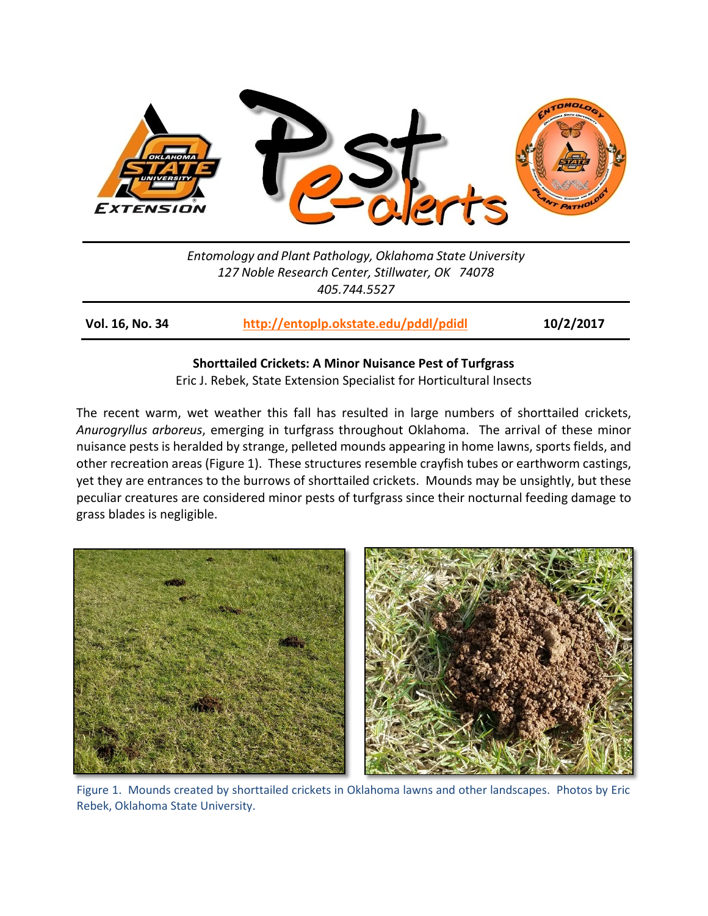

*Entomology and Plant Pathology, Oklahoma State University 127 Noble Research Center, Stillwater, OK 74078 405.744.5527*

**Vol. 16, No. 34 <http://entoplp.okstate.edu/pddl/pdidl> 10/2/2017**

# **Shorttailed Crickets: A Minor Nuisance Pest of Turfgrass**

Eric J. Rebek, State Extension Specialist for Horticultural Insects

The recent warm, wet weather this fall has resulted in large numbers of shorttailed crickets, *Anurogryllus arboreus*, emerging in turfgrass throughout Oklahoma. The arrival of these minor nuisance pests is heralded by strange, pelleted mounds appearing in home lawns, sports fields, and other recreation areas (Figure 1). These structures resemble crayfish tubes or earthworm castings, yet they are entrances to the burrows of shorttailed crickets. Mounds may be unsightly, but these peculiar creatures are considered minor pests of turfgrass since their nocturnal feeding damage to grass blades is negligible.



Figure 1. Mounds created by shorttailed crickets in Oklahoma lawns and other landscapes. Photos by Eric Rebek, Oklahoma State University.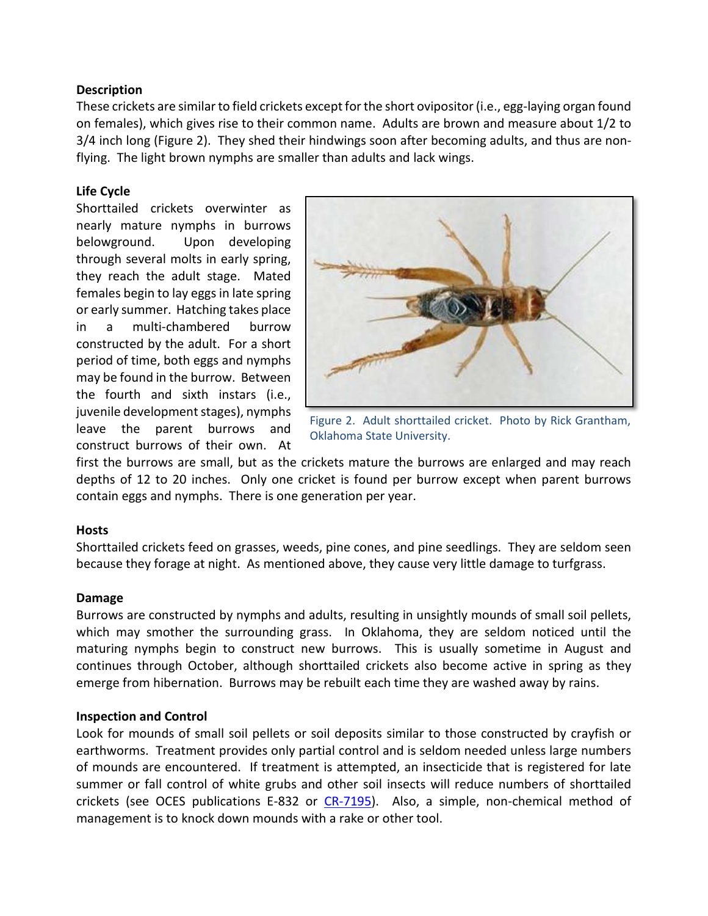## **Description**

These crickets are similar to field crickets except for the short ovipositor (i.e., egg-laying organ found on females), which gives rise to their common name. Adults are brown and measure about 1/2 to 3/4 inch long (Figure 2). They shed their hindwings soon after becoming adults, and thus are nonflying. The light brown nymphs are smaller than adults and lack wings.

# **Life Cycle**

Shorttailed crickets overwinter as nearly mature nymphs in burrows belowground. Upon developing through several molts in early spring, they reach the adult stage. Mated females begin to lay eggs in late spring or early summer. Hatching takes place in a multi-chambered burrow constructed by the adult. For a short period of time, both eggs and nymphs may be found in the burrow. Between the fourth and sixth instars (i.e., juvenile development stages), nymphs leave the parent burrows and construct burrows of their own. At



Figure 2. Adult shorttailed cricket. Photo by Rick Grantham, Oklahoma State University.

first the burrows are small, but as the crickets mature the burrows are enlarged and may reach depths of 12 to 20 inches. Only one cricket is found per burrow except when parent burrows contain eggs and nymphs. There is one generation per year.

### **Hosts**

Shorttailed crickets feed on grasses, weeds, pine cones, and pine seedlings. They are seldom seen because they forage at night. As mentioned above, they cause very little damage to turfgrass.

### **Damage**

Burrows are constructed by nymphs and adults, resulting in unsightly mounds of small soil pellets, which may smother the surrounding grass. In Oklahoma, they are seldom noticed until the maturing nymphs begin to construct new burrows. This is usually sometime in August and continues through October, although shorttailed crickets also become active in spring as they emerge from hibernation. Burrows may be rebuilt each time they are washed away by rains.

### **Inspection and Control**

Look for mounds of small soil pellets or soil deposits similar to those constructed by crayfish or earthworms. Treatment provides only partial control and is seldom needed unless large numbers of mounds are encountered. If treatment is attempted, an insecticide that is registered for late summer or fall control of white grubs and other soil insects will reduce numbers of shorttailed crickets (see OCES publications E-832 or [CR-7195\)](http://pods.dasnr.okstate.edu/docushare/dsweb/Get/Document-7555/CR-7195web17.pdf). Also, a simple, non-chemical method of management is to knock down mounds with a rake or other tool.